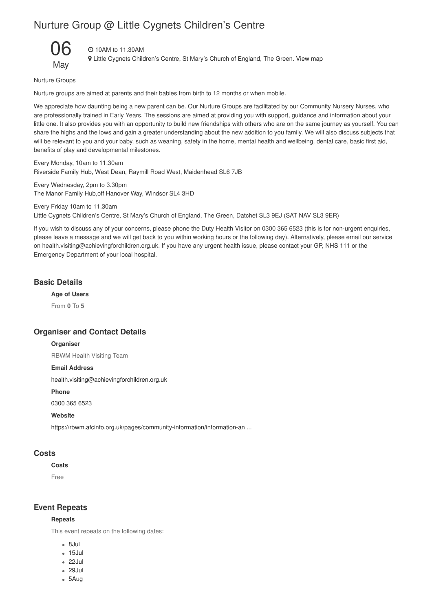# Nurture Group @ Little Cygnets Children's Centre



### 10AM to 11.30AM

Little Cygnets Children's Centre, St Mary's Church of England, The Green. View map

Nurture Groups

Nurture groups are aimed at parents and their babies from birth to 12 months or when mobile.

We appreciate how daunting being a new parent can be. Our Nurture Groups are facilitated by our Community Nursery Nurses, who are professionally trained in Early Years. The sessions are aimed at providing you with support, guidance and information about your little one. It also provides you with an opportunity to build new friendships with others who are on the same journey as yourself. You can share the highs and the lows and gain a greater understanding about the new addition to you family. We will also discuss subjects that will be relevant to you and your baby, such as weaning, safety in the home, mental health and wellbeing, dental care, basic first aid, benefits of play and developmental milestones.

Every Monday, 10am to 11.30am Riverside Family Hub, West Dean, Raymill Road West, Maidenhead SL6 7JB

Every Wednesday, 2pm to 3.30pm The Manor Family Hub,off Hanover Way, Windsor SL4 3HD

Every Friday 10am to 11.30am Little Cygnets Children's Centre, St Mary's Church of England, The Green, Datchet SL3 9EJ (SAT NAV SL3 9ER)

If you wish to discuss any of your concerns, please phone the Duty Health Visitor on 0300 365 6523 (this is for non-urgent enquiries, please leave a message and we will get back to you within working hours or the following day). Alternatively, please email our service on health.visiting@achievingforchildren.org.uk. If you have any urgent health issue, please contact your GP, NHS 111 or the Emergency Department of your local hospital.

## **Basic Details**

**Age of Users**

From **0** To **5**

### **Organiser and Contact Details**

#### **Organiser**

RBWM Health Visiting Team

## **Email Address**

health.visiting@achievingforchildren.org.uk

**Phone**

0300 365 6523

### **Website**

https://rbwm.afcinfo.org.uk/pages/community-information/information-an ...

## **Costs**

## **Costs**

Free

### **Event Repeats**

#### **Repeats**

This event repeats on the following dates:

- 8Jul
- $-15$ , lul
- 22Jul
- 29Jul
- 5Aug